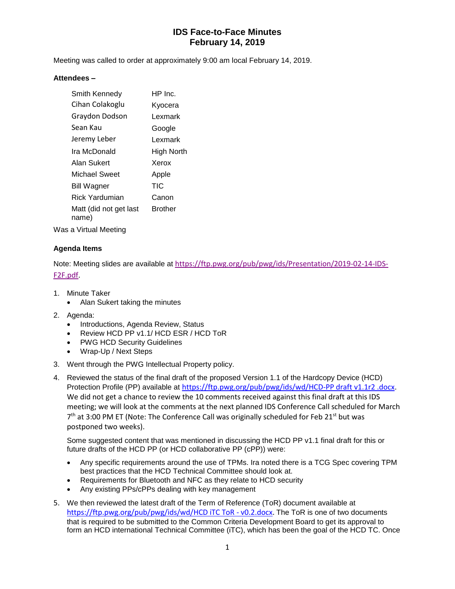# **IDS Face-to-Face Minutes February 14, 2019**

Meeting was called to order at approximately 9:00 am local February 14, 2019.

#### **Attendees –**

| Smith Kennedy                   | HP Inc.    |
|---------------------------------|------------|
| Cihan Colakoglu                 | Kyocera    |
| Graydon Dodson                  | Lexmark    |
| Sean Kau                        | Google     |
| Jeremy Leber                    | Lexmark    |
| Ira McDonald                    | High North |
| Alan Sukert                     | Xerox      |
| Michael Sweet                   | Apple      |
| Bill Wagner                     | TIC        |
| Rick Yardumian                  | Canon      |
| Matt (did not get last<br>name) | Brother    |

Was a Virtual Meeting

### **Agenda Items**

Note: Meeting slides are available at [https://ftp.pwg.org/pub/pwg/ids/Presentation/2019-02-14-IDS-](https://ftp.pwg.org/pub/pwg/ids/Presentation/2019-02-14-IDS-F2F.pdf)[F2F.pdf.](https://ftp.pwg.org/pub/pwg/ids/Presentation/2019-02-14-IDS-F2F.pdf)

- 1. Minute Taker
	- Alan Sukert taking the minutes
- 2. Agenda:
	- Introductions, Agenda Review, Status
	- Review HCD PP v1.1/ HCD ESR / HCD ToR
	- PWG HCD Security Guidelines
	- Wrap-Up / Next Steps
- 3. Went through the PWG Intellectual Property policy.
- 4. Reviewed the status of the final draft of the proposed Version 1.1 of the Hardcopy Device (HCD) Protection Profile (PP) available at [https://ftp.pwg.org/pub/pwg/ids/wd/HCD-PP draft v1.1r2 .docx.](https://ftp.pwg.org/pub/pwg/ids/wd/HCD-PP%20draft%20v1.1r2%20.docx) We did not get a chance to review the 10 comments received against this final draft at this IDS meeting; we will look at the comments at the next planned IDS Conference Call scheduled for March 7<sup>th</sup> at 3:00 PM ET (Note: The Conference Call was originally scheduled for Feb 21<sup>st</sup> but was postponed two weeks).

Some suggested content that was mentioned in discussing the HCD PP v1.1 final draft for this or future drafts of the HCD PP (or HCD collaborative PP (cPP)) were:

- Any specific requirements around the use of TPMs. Ira noted there is a TCG Spec covering TPM best practices that the HCD Technical Committee should look at.
- Requirements for Bluetooth and NFC as they relate to HCD security
- Any existing PPs/cPPs dealing with key management
- 5. We then reviewed the latest draft of the Term of Reference (ToR) document available at [https://ftp.pwg.org/pub/pwg/ids/wd/HCD iTC ToR -](https://ftp.pwg.org/pub/pwg/ids/wd/HCD%20iTC%20ToR%20-%20v0.2.docx) v0.2.docx. The ToR is one of two documents that is required to be submitted to the Common Criteria Development Board to get its approval to form an HCD international Technical Committee (iTC), which has been the goal of the HCD TC. Once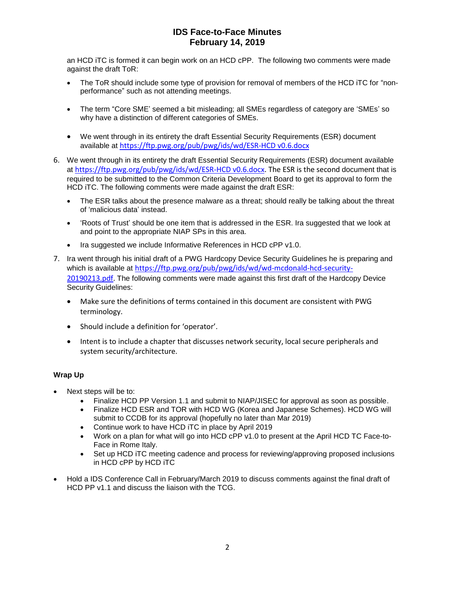# **IDS Face-to-Face Minutes February 14, 2019**

an HCD iTC is formed it can begin work on an HCD cPP. The following two comments were made against the draft ToR:

- The ToR should include some type of provision for removal of members of the HCD iTC for "nonperformance" such as not attending meetings.
- The term "Core SME' seemed a bit misleading; all SMEs regardless of category are 'SMEs' so why have a distinction of different categories of SMEs.
- We went through in its entirety the draft Essential Security Requirements (ESR) document available at [https://ftp.pwg.org/pub/pwg/ids/wd/ESR-HCD v0.6.docx](https://ftp.pwg.org/pub/pwg/ids/wd/ESR-HCD%20v0.6.docx)
- 6. We went through in its entirety the draft Essential Security Requirements (ESR) document available at [https://ftp.pwg.org/pub/pwg/ids/wd/ESR-HCD v0.6.docx.](https://ftp.pwg.org/pub/pwg/ids/wd/ESR-HCD%20v0.6.docx) The ESR is the second document that is required to be submitted to the Common Criteria Development Board to get its approval to form the HCD iTC. The following comments were made against the draft ESR:
	- The ESR talks about the presence malware as a threat; should really be talking about the threat of 'malicious data' instead.
	- 'Roots of Trust' should be one item that is addressed in the ESR. Ira suggested that we look at and point to the appropriate NIAP SPs in this area.
	- Ira suggested we include Informative References in HCD cPP v1.0.
- 7. Ira went through his initial draft of a PWG Hardcopy Device Security Guidelines he is preparing and which is available at [https://ftp.pwg.org/pub/pwg/ids/wd/wd-mcdonald-hcd-security-](https://ftp.pwg.org/pub/pwg/ids/wd/wd-mcdonald-hcd-security-20190213.pdf)[20190213.pdf.](https://ftp.pwg.org/pub/pwg/ids/wd/wd-mcdonald-hcd-security-20190213.pdf) The following comments were made against this first draft of the Hardcopy Device Security Guidelines:
	- Make sure the definitions of terms contained in this document are consistent with PWG terminology.
	- Should include a definition for 'operator'.
	- Intent is to include a chapter that discusses network security, local secure peripherals and system security/architecture.

### **Wrap Up**

- Next steps will be to:
	- Finalize HCD PP Version 1.1 and submit to NIAP/JISEC for approval as soon as possible.
	- Finalize HCD ESR and TOR with HCD WG (Korea and Japanese Schemes). HCD WG will submit to CCDB for its approval (hopefully no later than Mar 2019)
	- Continue work to have HCD iTC in place by April 2019
	- Work on a plan for what will go into HCD cPP v1.0 to present at the April HCD TC Face-to-Face in Rome Italy.
	- Set up HCD iTC meeting cadence and process for reviewing/approving proposed inclusions in HCD cPP by HCD iTC
- Hold a IDS Conference Call in February/March 2019 to discuss comments against the final draft of HCD PP v1.1 and discuss the liaison with the TCG.